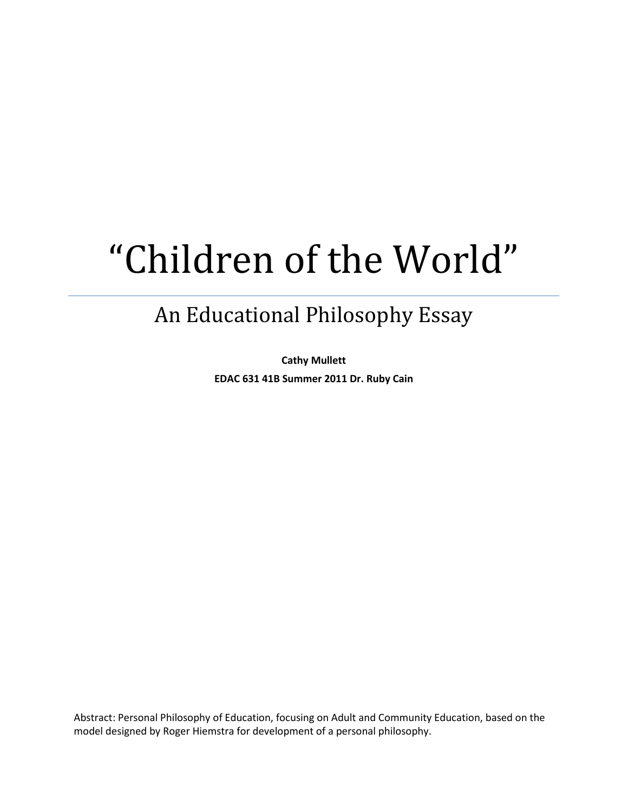# "Children of the World"

## An Educational Philosophy Essay

**Cathy Mullett EDAC 631 41B Summer 2011 Dr. Ruby Cain**

Abstract: Personal Philosophy of Education, focusing on Adult and Community Education, based on the model designed by Roger Hiemstra for development of a personal philosophy.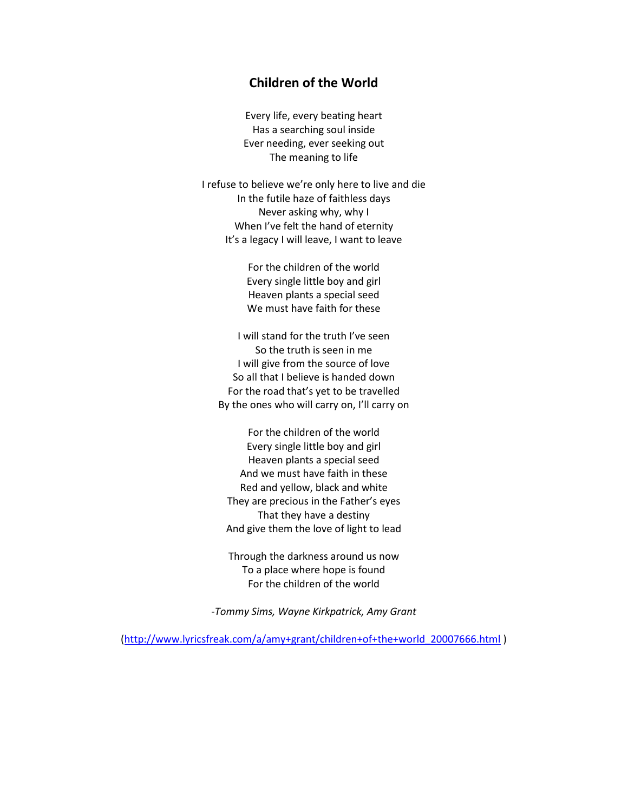#### **Children of the World**

Every life, every beating heart Has a searching soul inside Ever needing, ever seeking out The meaning to life

I refuse to believe we're only here to live and die In the futile haze of faithless days Never asking why, why I When I've felt the hand of eternity It's a legacy I will leave, I want to leave

> For the children of the world Every single little boy and girl Heaven plants a special seed We must have faith for these

I will stand for the truth I've seen So the truth is seen in me I will give from the source of love So all that I believe is handed down For the road that's yet to be travelled By the ones who will carry on, I'll carry on

For the children of the world Every single little boy and girl Heaven plants a special seed And we must have faith in these Red and yellow, black and white They are precious in the Father's eyes That they have a destiny And give them the love of light to lead

Through the darkness around us now To a place where hope is found For the children of the world

*-Tommy Sims, Wayne Kirkpatrick, Amy Grant*

[\(http://www.lyricsfreak.com/a/amy+grant/children+of+the+world\\_20007666.html](http://www.lyricsfreak.com/a/amy+grant/children+of+the+world_20007666.html) )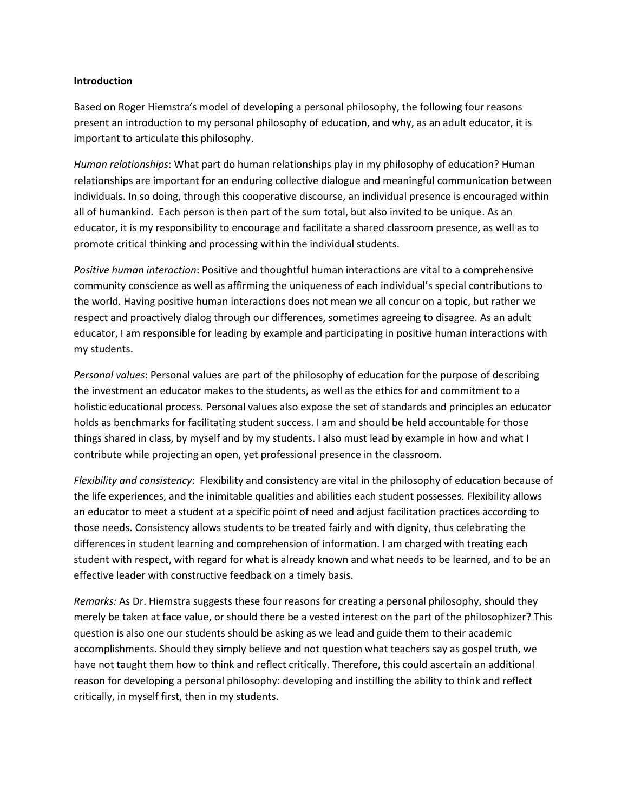#### **Introduction**

Based on Roger Hiemstra's model of developing a personal philosophy, the following four reasons present an introduction to my personal philosophy of education, and why, as an adult educator, it is important to articulate this philosophy.

*Human relationships*: What part do human relationships play in my philosophy of education? Human relationships are important for an enduring collective dialogue and meaningful communication between individuals. In so doing, through this cooperative discourse, an individual presence is encouraged within all of humankind. Each person is then part of the sum total, but also invited to be unique. As an educator, it is my responsibility to encourage and facilitate a shared classroom presence, as well as to promote critical thinking and processing within the individual students.

*Positive human interaction*: Positive and thoughtful human interactions are vital to a comprehensive community conscience as well as affirming the uniqueness of each individual's special contributions to the world. Having positive human interactions does not mean we all concur on a topic, but rather we respect and proactively dialog through our differences, sometimes agreeing to disagree. As an adult educator, I am responsible for leading by example and participating in positive human interactions with my students.

*Personal values*: Personal values are part of the philosophy of education for the purpose of describing the investment an educator makes to the students, as well as the ethics for and commitment to a holistic educational process. Personal values also expose the set of standards and principles an educator holds as benchmarks for facilitating student success. I am and should be held accountable for those things shared in class, by myself and by my students. I also must lead by example in how and what I contribute while projecting an open, yet professional presence in the classroom.

*Flexibility and consistency*: Flexibility and consistency are vital in the philosophy of education because of the life experiences, and the inimitable qualities and abilities each student possesses. Flexibility allows an educator to meet a student at a specific point of need and adjust facilitation practices according to those needs. Consistency allows students to be treated fairly and with dignity, thus celebrating the differences in student learning and comprehension of information. I am charged with treating each student with respect, with regard for what is already known and what needs to be learned, and to be an effective leader with constructive feedback on a timely basis.

*Remarks:* As Dr. Hiemstra suggests these four reasons for creating a personal philosophy, should they merely be taken at face value, or should there be a vested interest on the part of the philosophizer? This question is also one our students should be asking as we lead and guide them to their academic accomplishments. Should they simply believe and not question what teachers say as gospel truth, we have not taught them how to think and reflect critically. Therefore, this could ascertain an additional reason for developing a personal philosophy: developing and instilling the ability to think and reflect critically, in myself first, then in my students.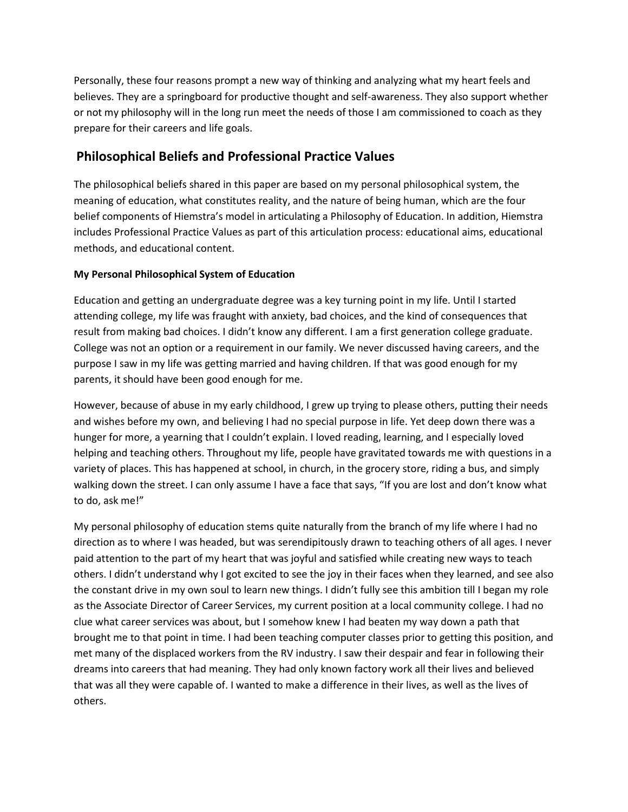Personally, these four reasons prompt a new way of thinking and analyzing what my heart feels and believes. They are a springboard for productive thought and self-awareness. They also support whether or not my philosophy will in the long run meet the needs of those I am commissioned to coach as they prepare for their careers and life goals.

### **Philosophical Beliefs and Professional Practice Values**

The philosophical beliefs shared in this paper are based on my personal philosophical system, the meaning of education, what constitutes reality, and the nature of being human, which are the four belief components of Hiemstra's model in articulating a Philosophy of Education. In addition, Hiemstra includes Professional Practice Values as part of this articulation process: educational aims, educational methods, and educational content.

#### **My Personal Philosophical System of Education**

Education and getting an undergraduate degree was a key turning point in my life. Until I started attending college, my life was fraught with anxiety, bad choices, and the kind of consequences that result from making bad choices. I didn't know any different. I am a first generation college graduate. College was not an option or a requirement in our family. We never discussed having careers, and the purpose I saw in my life was getting married and having children. If that was good enough for my parents, it should have been good enough for me.

However, because of abuse in my early childhood, I grew up trying to please others, putting their needs and wishes before my own, and believing I had no special purpose in life. Yet deep down there was a hunger for more, a yearning that I couldn't explain. I loved reading, learning, and I especially loved helping and teaching others. Throughout my life, people have gravitated towards me with questions in a variety of places. This has happened at school, in church, in the grocery store, riding a bus, and simply walking down the street. I can only assume I have a face that says, "If you are lost and don't know what to do, ask me!"

My personal philosophy of education stems quite naturally from the branch of my life where I had no direction as to where I was headed, but was serendipitously drawn to teaching others of all ages. I never paid attention to the part of my heart that was joyful and satisfied while creating new ways to teach others. I didn't understand why I got excited to see the joy in their faces when they learned, and see also the constant drive in my own soul to learn new things. I didn't fully see this ambition till I began my role as the Associate Director of Career Services, my current position at a local community college. I had no clue what career services was about, but I somehow knew I had beaten my way down a path that brought me to that point in time. I had been teaching computer classes prior to getting this position, and met many of the displaced workers from the RV industry. I saw their despair and fear in following their dreams into careers that had meaning. They had only known factory work all their lives and believed that was all they were capable of. I wanted to make a difference in their lives, as well as the lives of others.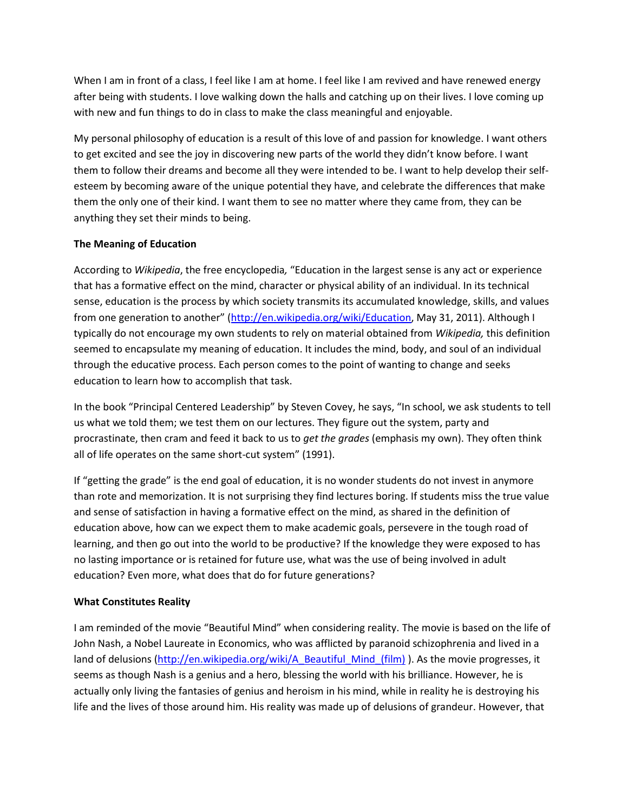When I am in front of a class, I feel like I am at home. I feel like I am revived and have renewed energy after being with students. I love walking down the halls and catching up on their lives. I love coming up with new and fun things to do in class to make the class meaningful and enjoyable.

My personal philosophy of education is a result of this love of and passion for knowledge. I want others to get excited and see the joy in discovering new parts of the world they didn't know before. I want them to follow their dreams and become all they were intended to be. I want to help develop their selfesteem by becoming aware of the unique potential they have, and celebrate the differences that make them the only one of their kind. I want them to see no matter where they came from, they can be anything they set their minds to being.

#### **The Meaning of Education**

According to *Wikipedia*, the free encyclopedia*,* "Education in the largest sense is any act or experience that has a formative effect on the mind, character or physical ability of an individual. In its technical sense, education is the process by which society transmits its accumulated knowledge, skills, and values from one generation to another" ([http://en.wikipedia.org/wiki/Education,](http://en.wikipedia.org/wiki/Education) May 31, 2011). Although I typically do not encourage my own students to rely on material obtained from *Wikipedia,* this definition seemed to encapsulate my meaning of education. It includes the mind, body, and soul of an individual through the educative process. Each person comes to the point of wanting to change and seeks education to learn how to accomplish that task.

In the book "Principal Centered Leadership" by Steven Covey, he says, "In school, we ask students to tell us what we told them; we test them on our lectures. They figure out the system, party and procrastinate, then cram and feed it back to us to *get the grades* (emphasis my own). They often think all of life operates on the same short-cut system" (1991).

If "getting the grade" is the end goal of education, it is no wonder students do not invest in anymore than rote and memorization. It is not surprising they find lectures boring. If students miss the true value and sense of satisfaction in having a formative effect on the mind, as shared in the definition of education above, how can we expect them to make academic goals, persevere in the tough road of learning, and then go out into the world to be productive? If the knowledge they were exposed to has no lasting importance or is retained for future use, what was the use of being involved in adult education? Even more, what does that do for future generations?

#### **What Constitutes Reality**

I am reminded of the movie "Beautiful Mind" when considering reality. The movie is based on the life of John Nash, a Nobel Laureate in Economics, who was afflicted by paranoid schizophrenia and lived in a land of delusions [\(http://en.wikipedia.org/wiki/A\\_Beautiful\\_Mind\\_\(film\)](http://en.wikipedia.org/wiki/A_Beautiful_Mind_(film)) ). As the movie progresses, it seems as though Nash is a genius and a hero, blessing the world with his brilliance. However, he is actually only living the fantasies of genius and heroism in his mind, while in reality he is destroying his life and the lives of those around him. His reality was made up of delusions of grandeur. However, that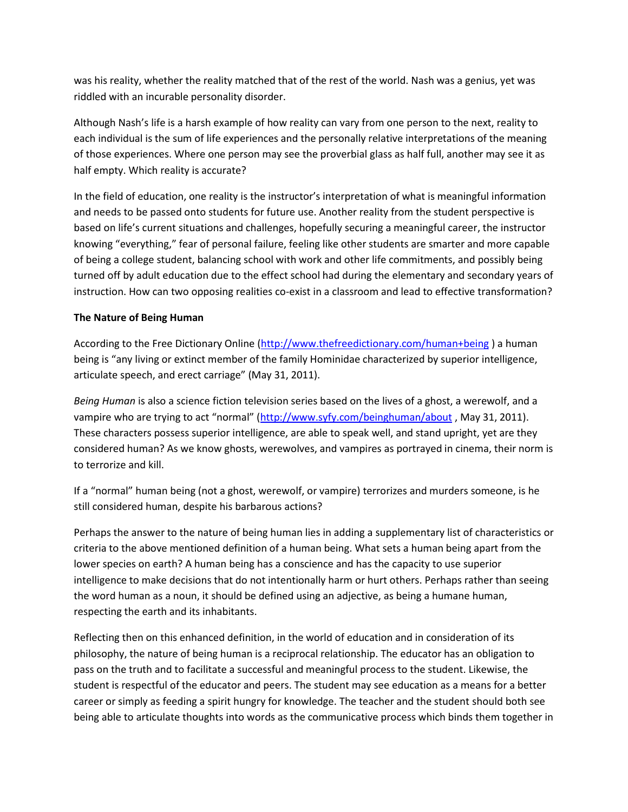was his reality, whether the reality matched that of the rest of the world. Nash was a genius, yet was riddled with an incurable personality disorder.

Although Nash's life is a harsh example of how reality can vary from one person to the next, reality to each individual is the sum of life experiences and the personally relative interpretations of the meaning of those experiences. Where one person may see the proverbial glass as half full, another may see it as half empty. Which reality is accurate?

In the field of education, one reality is the instructor's interpretation of what is meaningful information and needs to be passed onto students for future use. Another reality from the student perspective is based on life's current situations and challenges, hopefully securing a meaningful career, the instructor knowing "everything," fear of personal failure, feeling like other students are smarter and more capable of being a college student, balancing school with work and other life commitments, and possibly being turned off by adult education due to the effect school had during the elementary and secondary years of instruction. How can two opposing realities co-exist in a classroom and lead to effective transformation?

#### **The Nature of Being Human**

According to the Free Dictionary Online [\(http://www.thefreedictionary.com/human+being](http://www.thefreedictionary.com/human+being) ) a human being is "any living or extinct member of the family Hominidae characterized by superior intelligence, articulate speech, and erect carriage" (May 31, 2011).

*Being Human* is also a science fiction television series based on the lives of a ghost, a werewolf, and a vampire who are trying to act "normal" (<http://www.syfy.com/beinghuman/about>, May 31, 2011). These characters possess superior intelligence, are able to speak well, and stand upright, yet are they considered human? As we know ghosts, werewolves, and vampires as portrayed in cinema, their norm is to terrorize and kill.

If a "normal" human being (not a ghost, werewolf, or vampire) terrorizes and murders someone, is he still considered human, despite his barbarous actions?

Perhaps the answer to the nature of being human lies in adding a supplementary list of characteristics or criteria to the above mentioned definition of a human being. What sets a human being apart from the lower species on earth? A human being has a conscience and has the capacity to use superior intelligence to make decisions that do not intentionally harm or hurt others. Perhaps rather than seeing the word human as a noun, it should be defined using an adjective, as being a humane human, respecting the earth and its inhabitants.

Reflecting then on this enhanced definition, in the world of education and in consideration of its philosophy, the nature of being human is a reciprocal relationship. The educator has an obligation to pass on the truth and to facilitate a successful and meaningful process to the student. Likewise, the student is respectful of the educator and peers. The student may see education as a means for a better career or simply as feeding a spirit hungry for knowledge. The teacher and the student should both see being able to articulate thoughts into words as the communicative process which binds them together in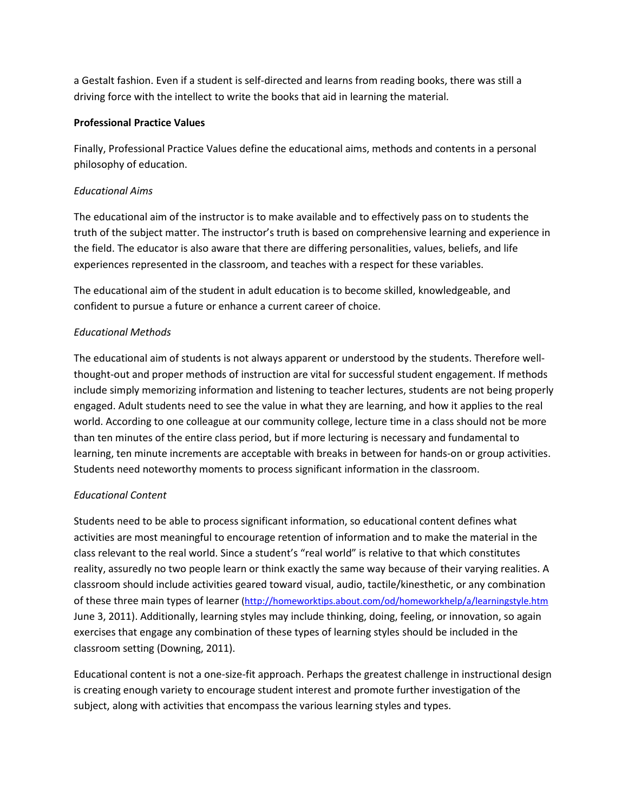a Gestalt fashion. Even if a student is self-directed and learns from reading books, there was still a driving force with the intellect to write the books that aid in learning the material.

#### **Professional Practice Values**

Finally, Professional Practice Values define the educational aims, methods and contents in a personal philosophy of education.

#### *Educational Aims*

The educational aim of the instructor is to make available and to effectively pass on to students the truth of the subject matter. The instructor's truth is based on comprehensive learning and experience in the field. The educator is also aware that there are differing personalities, values, beliefs, and life experiences represented in the classroom, and teaches with a respect for these variables.

The educational aim of the student in adult education is to become skilled, knowledgeable, and confident to pursue a future or enhance a current career of choice.

#### *Educational Methods*

The educational aim of students is not always apparent or understood by the students. Therefore wellthought-out and proper methods of instruction are vital for successful student engagement. If methods include simply memorizing information and listening to teacher lectures, students are not being properly engaged. Adult students need to see the value in what they are learning, and how it applies to the real world. According to one colleague at our community college, lecture time in a class should not be more than ten minutes of the entire class period, but if more lecturing is necessary and fundamental to learning, ten minute increments are acceptable with breaks in between for hands-on or group activities. Students need noteworthy moments to process significant information in the classroom.

#### *Educational Content*

Students need to be able to process significant information, so educational content defines what activities are most meaningful to encourage retention of information and to make the material in the class relevant to the real world. Since a student's "real world" is relative to that which constitutes reality, assuredly no two people learn or think exactly the same way because of their varying realities. A classroom should include activities geared toward visual, audio, tactile/kinesthetic, or any combination of these three main types of learner [\(http://homeworktips.about.com/od/homeworkhelp/a/learningstyle.htm](http://homeworktips.about.com/od/homeworkhelp/a/learningstyle.htm)  June 3, 2011). Additionally, learning styles may include thinking, doing, feeling, or innovation, so again exercises that engage any combination of these types of learning styles should be included in the classroom setting (Downing, 2011).

Educational content is not a one-size-fit approach. Perhaps the greatest challenge in instructional design is creating enough variety to encourage student interest and promote further investigation of the subject, along with activities that encompass the various learning styles and types.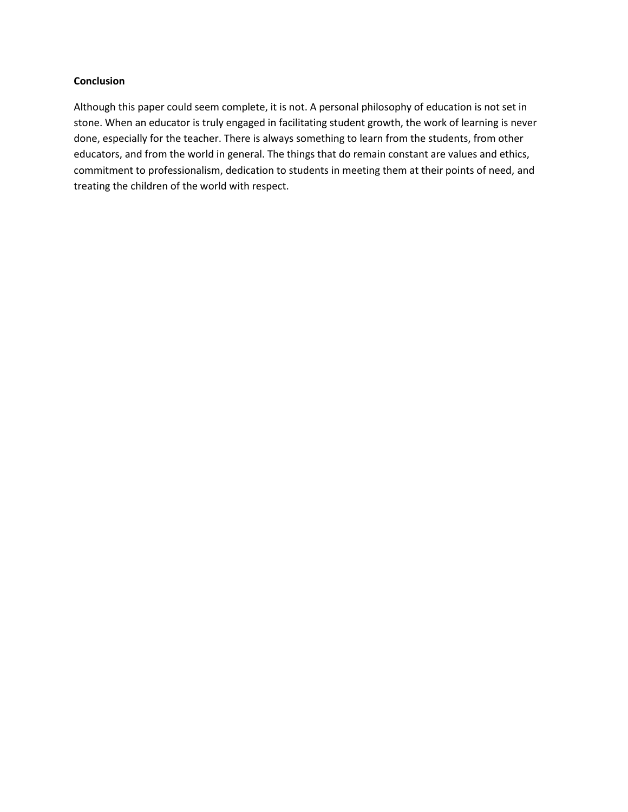#### **Conclusion**

Although this paper could seem complete, it is not. A personal philosophy of education is not set in stone. When an educator is truly engaged in facilitating student growth, the work of learning is never done, especially for the teacher. There is always something to learn from the students, from other educators, and from the world in general. The things that do remain constant are values and ethics, commitment to professionalism, dedication to students in meeting them at their points of need, and treating the children of the world with respect.